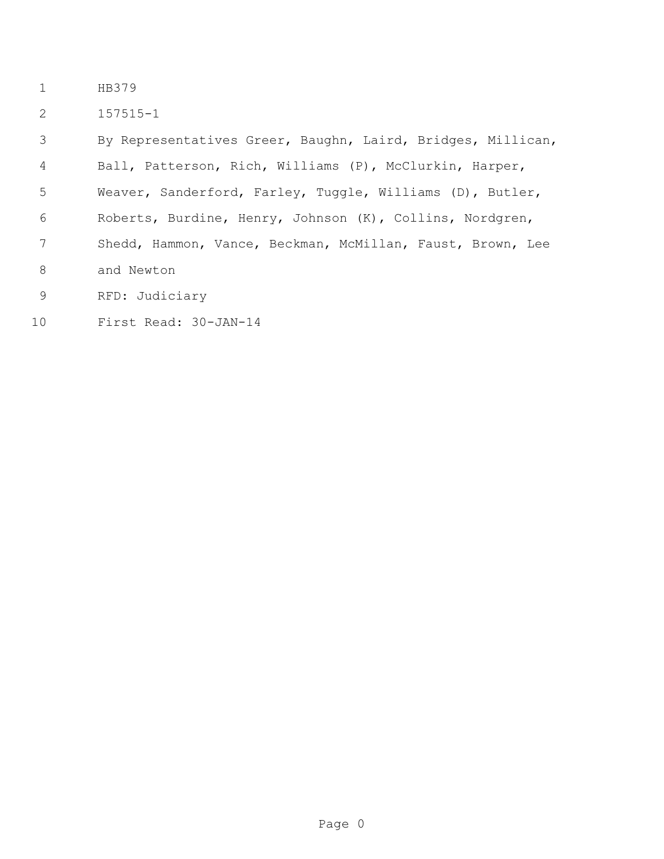- HB379
- 157515-1

 By Representatives Greer, Baughn, Laird, Bridges, Millican, Ball, Patterson, Rich, Williams (P), McClurkin, Harper, Weaver, Sanderford, Farley, Tuggle, Williams (D), Butler, Roberts, Burdine, Henry, Johnson (K), Collins, Nordgren, Shedd, Hammon, Vance, Beckman, McMillan, Faust, Brown, Lee and Newton RFD: Judiciary

First Read: 30-JAN-14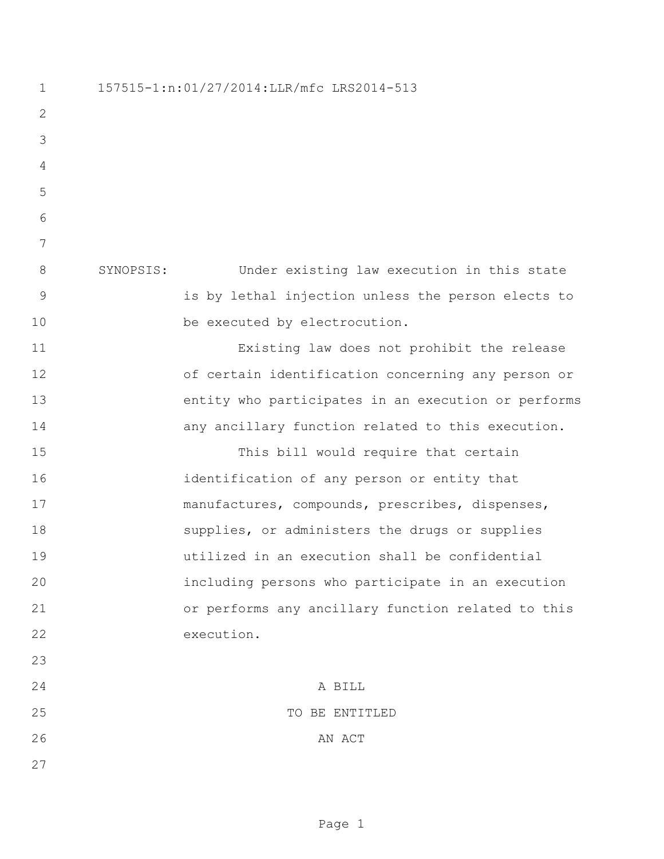157515-1:n:01/27/2014:LLR/mfc LRS2014-513 SYNOPSIS: Under existing law execution in this state is by lethal injection unless the person elects to 10 be executed by electrocution. Existing law does not prohibit the release of certain identification concerning any person or entity who participates in an execution or performs **any ancillary function related to this execution.** 15 This bill would require that certain identification of any person or entity that manufactures, compounds, prescribes, dispenses, 18 supplies, or administers the drugs or supplies utilized in an execution shall be confidential including persons who participate in an execution or performs any ancillary function related to this execution. A BILL 25 TO BE ENTITLED 26 AN ACT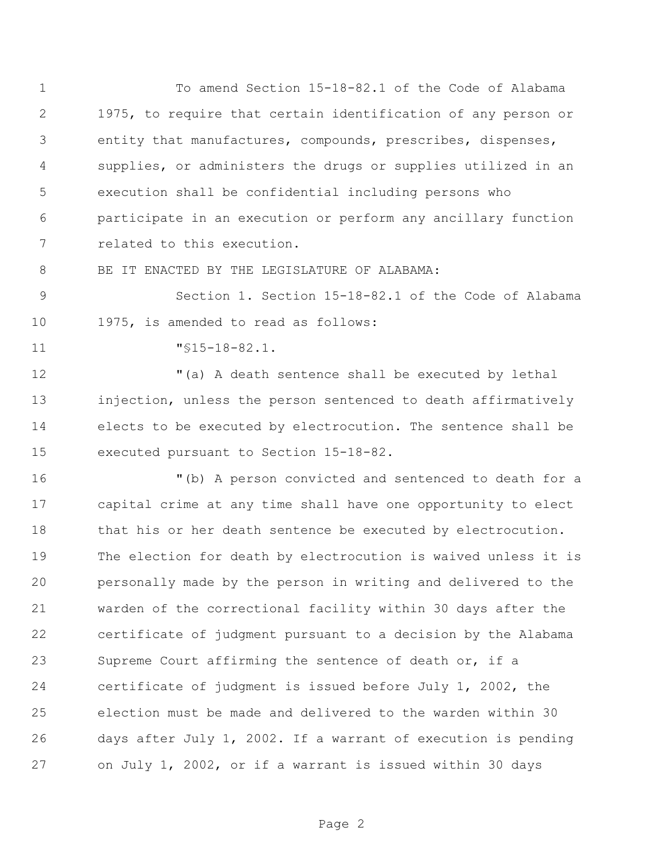To amend Section 15-18-82.1 of the Code of Alabama 1975, to require that certain identification of any person or entity that manufactures, compounds, prescribes, dispenses, supplies, or administers the drugs or supplies utilized in an execution shall be confidential including persons who participate in an execution or perform any ancillary function related to this execution.

8 BE IT ENACTED BY THE LEGISLATURE OF ALABAMA:

 Section 1. Section 15-18-82.1 of the Code of Alabama 1975, is amended to read as follows:

"§15-18-82.1.

 "(a) A death sentence shall be executed by lethal injection, unless the person sentenced to death affirmatively elects to be executed by electrocution. The sentence shall be executed pursuant to Section 15-18-82.

 "(b) A person convicted and sentenced to death for a capital crime at any time shall have one opportunity to elect 18 that his or her death sentence be executed by electrocution. The election for death by electrocution is waived unless it is personally made by the person in writing and delivered to the warden of the correctional facility within 30 days after the certificate of judgment pursuant to a decision by the Alabama Supreme Court affirming the sentence of death or, if a certificate of judgment is issued before July 1, 2002, the election must be made and delivered to the warden within 30 days after July 1, 2002. If a warrant of execution is pending on July 1, 2002, or if a warrant is issued within 30 days

Page 2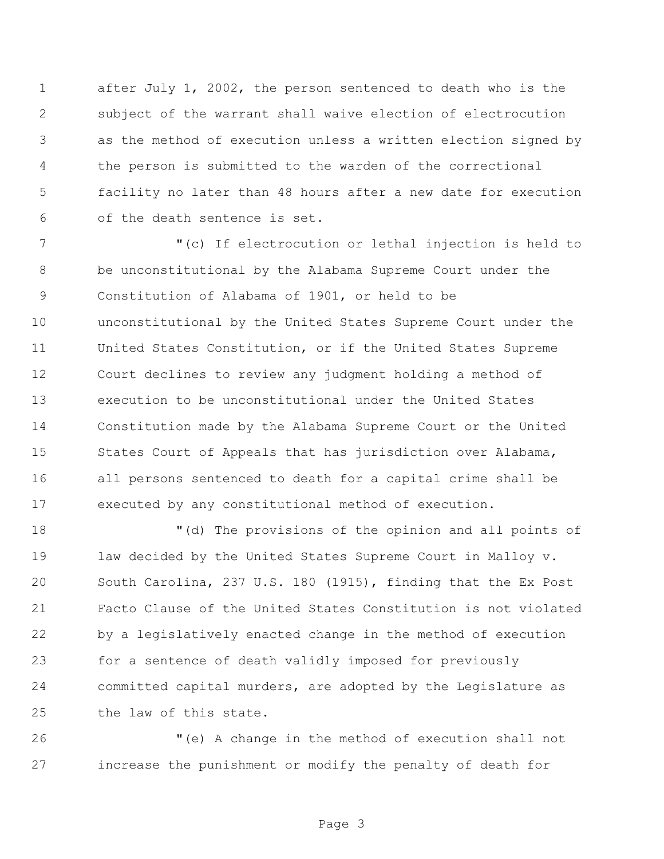after July 1, 2002, the person sentenced to death who is the subject of the warrant shall waive election of electrocution as the method of execution unless a written election signed by the person is submitted to the warden of the correctional facility no later than 48 hours after a new date for execution of the death sentence is set.

 "(c) If electrocution or lethal injection is held to be unconstitutional by the Alabama Supreme Court under the Constitution of Alabama of 1901, or held to be unconstitutional by the United States Supreme Court under the United States Constitution, or if the United States Supreme Court declines to review any judgment holding a method of execution to be unconstitutional under the United States Constitution made by the Alabama Supreme Court or the United 15 States Court of Appeals that has jurisdiction over Alabama, all persons sentenced to death for a capital crime shall be executed by any constitutional method of execution.

 "(d) The provisions of the opinion and all points of law decided by the United States Supreme Court in Malloy v. South Carolina, 237 U.S. 180 (1915), finding that the Ex Post Facto Clause of the United States Constitution is not violated by a legislatively enacted change in the method of execution for a sentence of death validly imposed for previously committed capital murders, are adopted by the Legislature as the law of this state.

 "(e) A change in the method of execution shall not increase the punishment or modify the penalty of death for

Page 3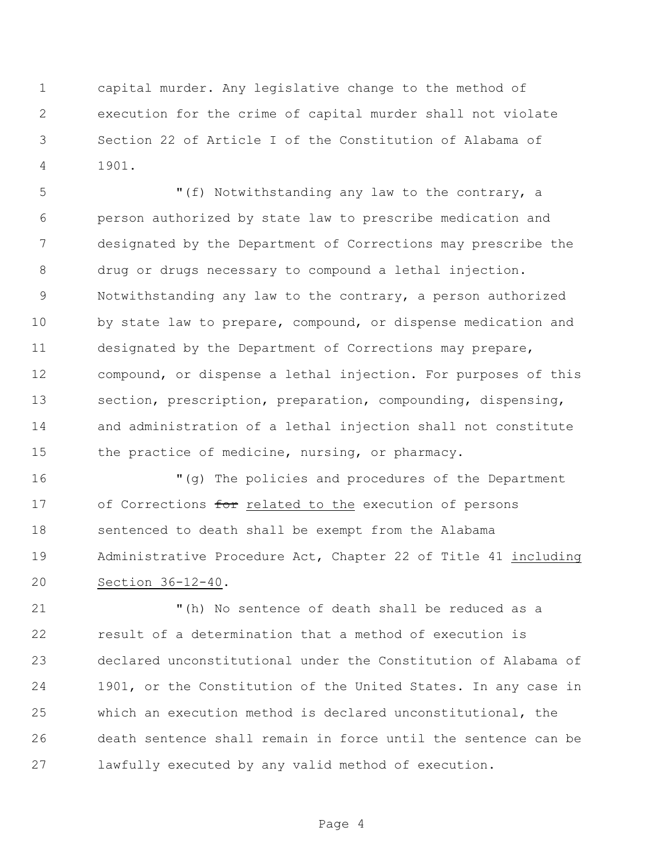capital murder. Any legislative change to the method of execution for the crime of capital murder shall not violate Section 22 of Article I of the Constitution of Alabama of 1901.

 "(f) Notwithstanding any law to the contrary, a person authorized by state law to prescribe medication and designated by the Department of Corrections may prescribe the drug or drugs necessary to compound a lethal injection. Notwithstanding any law to the contrary, a person authorized by state law to prepare, compound, or dispense medication and designated by the Department of Corrections may prepare, compound, or dispense a lethal injection. For purposes of this section, prescription, preparation, compounding, dispensing, and administration of a lethal injection shall not constitute the practice of medicine, nursing, or pharmacy.

 "(g) The policies and procedures of the Department 17 of Corrections for related to the execution of persons sentenced to death shall be exempt from the Alabama Administrative Procedure Act, Chapter 22 of Title 41 including Section 36-12-40.

 "(h) No sentence of death shall be reduced as a result of a determination that a method of execution is declared unconstitutional under the Constitution of Alabama of 1901, or the Constitution of the United States. In any case in which an execution method is declared unconstitutional, the death sentence shall remain in force until the sentence can be lawfully executed by any valid method of execution.

Page 4